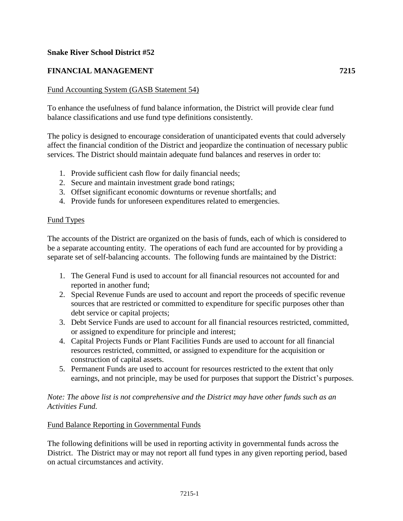## **Snake River School District #52**

# **FINANCIAL MANAGEMENT 7215**

## Fund Accounting System (GASB Statement 54)

To enhance the usefulness of fund balance information, the District will provide clear fund balance classifications and use fund type definitions consistently.

The policy is designed to encourage consideration of unanticipated events that could adversely affect the financial condition of the District and jeopardize the continuation of necessary public services. The District should maintain adequate fund balances and reserves in order to:

- 1. Provide sufficient cash flow for daily financial needs;
- 2. Secure and maintain investment grade bond ratings;
- 3. Offset significant economic downturns or revenue shortfalls; and
- 4. Provide funds for unforeseen expenditures related to emergencies.

### Fund Types

The accounts of the District are organized on the basis of funds, each of which is considered to be a separate accounting entity. The operations of each fund are accounted for by providing a separate set of self-balancing accounts. The following funds are maintained by the District:

- 1. The General Fund is used to account for all financial resources not accounted for and reported in another fund;
- 2. Special Revenue Funds are used to account and report the proceeds of specific revenue sources that are restricted or committed to expenditure for specific purposes other than debt service or capital projects;
- 3. Debt Service Funds are used to account for all financial resources restricted, committed, or assigned to expenditure for principle and interest;
- 4. Capital Projects Funds or Plant Facilities Funds are used to account for all financial resources restricted, committed, or assigned to expenditure for the acquisition or construction of capital assets.
- 5. Permanent Funds are used to account for resources restricted to the extent that only earnings, and not principle, may be used for purposes that support the District's purposes.

## *Note: The above list is not comprehensive and the District may have other funds such as an Activities Fund.*

### Fund Balance Reporting in Governmental Funds

The following definitions will be used in reporting activity in governmental funds across the District. The District may or may not report all fund types in any given reporting period, based on actual circumstances and activity.

7215-1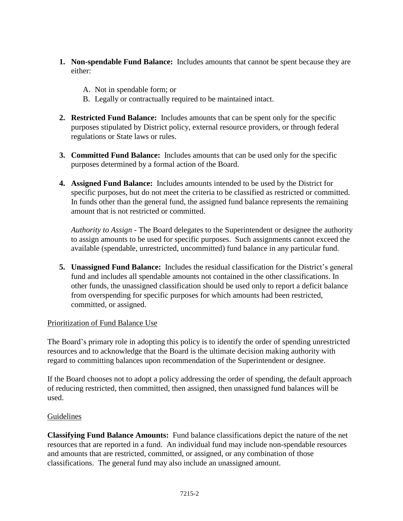- **1. Non-spendable Fund Balance:** Includes amounts that cannot be spent because they are either:
	- A. Not in spendable form; or
	- B. Legally or contractually required to be maintained intact.
- **2. Restricted Fund Balance:** Includes amounts that can be spent only for the specific purposes stipulated by District policy, external resource providers, or through federal regulations or State laws or rules.
- **3. Committed Fund Balance:** Includes amounts that can be used only for the specific purposes determined by a formal action of the Board.
- **4. Assigned Fund Balance:** Includes amounts intended to be used by the District for specific purposes, but do not meet the criteria to be classified as restricted or committed. In funds other than the general fund, the assigned fund balance represents the remaining amount that is not restricted or committed.

*Authority to Assign* - The Board delegates to the Superintendent or designee the authority to assign amounts to be used for specific purposes. Such assignments cannot exceed the available (spendable, unrestricted, uncommitted) fund balance in any particular fund.

**5. Unassigned Fund Balance:** Includes the residual classification for the District's general fund and includes all spendable amounts not contained in the other classifications. In other funds, the unassigned classification should be used only to report a deficit balance from overspending for specific purposes for which amounts had been restricted, committed, or assigned.

## Prioritization of Fund Balance Use

The Board's primary role in adopting this policy is to identify the order of spending unrestricted resources and to acknowledge that the Board is the ultimate decision making authority with regard to committing balances upon recommendation of the Superintendent or designee.

If the Board chooses not to adopt a policy addressing the order of spending, the default approach of reducing restricted, then committed, then assigned, then unassigned fund balances will be used.

### Guidelines

**Classifying Fund Balance Amounts:** Fund balance classifications depict the nature of the net resources that are reported in a fund. An individual fund may include non-spendable resources and amounts that are restricted, committed, or assigned, or any combination of those classifications. The general fund may also include an unassigned amount.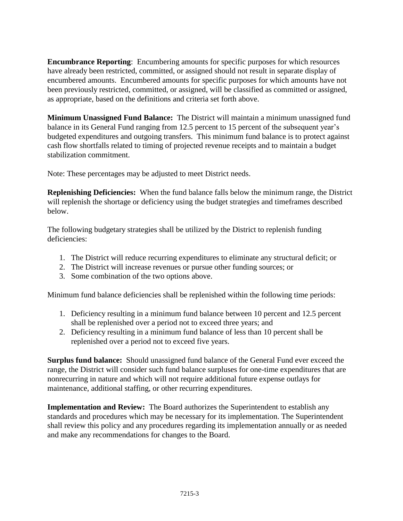**Encumbrance Reporting**: Encumbering amounts for specific purposes for which resources have already been restricted, committed, or assigned should not result in separate display of encumbered amounts. Encumbered amounts for specific purposes for which amounts have not been previously restricted, committed, or assigned, will be classified as committed or assigned, as appropriate, based on the definitions and criteria set forth above.

**Minimum Unassigned Fund Balance:** The District will maintain a minimum unassigned fund balance in its General Fund ranging from 12.5 percent to 15 percent of the subsequent year's budgeted expenditures and outgoing transfers. This minimum fund balance is to protect against cash flow shortfalls related to timing of projected revenue receipts and to maintain a budget stabilization commitment.

Note: These percentages may be adjusted to meet District needs.

**Replenishing Deficiencies:** When the fund balance falls below the minimum range, the District will replenish the shortage or deficiency using the budget strategies and timeframes described below.

The following budgetary strategies shall be utilized by the District to replenish funding deficiencies:

- 1. The District will reduce recurring expenditures to eliminate any structural deficit; or
- 2. The District will increase revenues or pursue other funding sources; or
- 3. Some combination of the two options above.

Minimum fund balance deficiencies shall be replenished within the following time periods:

- 1. Deficiency resulting in a minimum fund balance between 10 percent and 12.5 percent shall be replenished over a period not to exceed three years; and
- 2. Deficiency resulting in a minimum fund balance of less than 10 percent shall be replenished over a period not to exceed five years.

**Surplus fund balance:** Should unassigned fund balance of the General Fund ever exceed the range, the District will consider such fund balance surpluses for one-time expenditures that are nonrecurring in nature and which will not require additional future expense outlays for maintenance, additional staffing, or other recurring expenditures.

**Implementation and Review:** The Board authorizes the Superintendent to establish any standards and procedures which may be necessary for its implementation. The Superintendent shall review this policy and any procedures regarding its implementation annually or as needed and make any recommendations for changes to the Board.